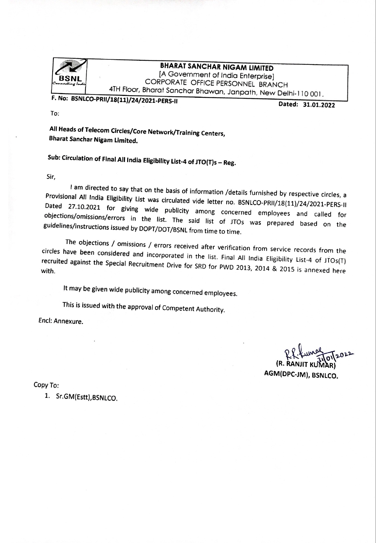

## **BHARAT SANCHAR NIGAM LIMITED**

[A Government of India Enterprise] CORPORATE OFFICE PERSONNEL BRANCH 4TH Floor, Bharat Sanchar Bhawan, Janpath, New Delhi-110001.

F. No: BSNLCO-PRII/18(11)/24/2021-PERS-II

Dated: 31.01.2022

To:

All Heads of Telecom Circles/Core Network/Training Centers, **Bharat Sanchar Nigam Limited.** 

Sub: Circulation of Final All India Eligibility List-4 of JTO(T)s - Reg.

Sir,

I am directed to say that on the basis of information /details furnished by respective circles, a Provisional All India Eligibility List was circulated vide letter no. BSNLCO-PRII/18(11)/24/2021-PERS-II Dated 27.10.2021 for giving wide publicity among concerned employees and called for objections/omissions/errors in the list. The said list of JTOs was prepared based on the guidelines/instructions issued by DOPT/DOT/BSNL from time to time.

The objections / omissions / errors received after verification from service records from the circles have been considered and incorporated in the list. Final All India Eligibility List-4 of JTOs(T) recruited against the Special Recruitment Drive for SRD for PWD 2013, 2014 & 2015 is annexed here

It may be given wide publicity among concerned employees.

This is issued with the approval of Competent Authority.

Encl: Annexure.

(R. RAN IAR) AGM(DPC-JM), BSNLCO.

Copy To:

1. Sr.GM(Estt), BSNLCO.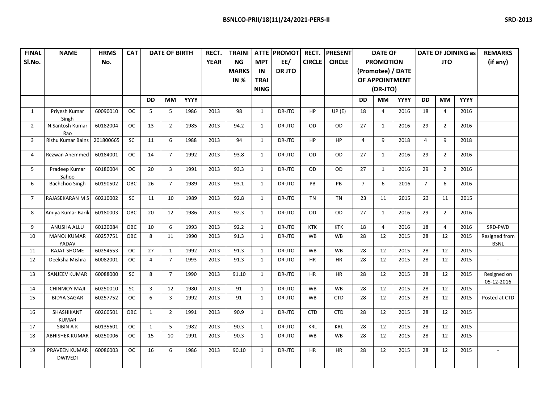| <b>FINAL</b>   | <b>NAME</b>               | <b>HRMS</b> | <b>CAT</b>  |                | <b>DATE OF BIRTH</b><br>RECT. |             |             | <b>TRAINI</b> | <b>ATTE</b>  | <b>PROMOT</b> | RECT.         | <b>PRESENT</b> |                   | <b>DATE OF</b>   |             |                | <b>DATE OF JOINING as</b> | <b>REMARKS</b> |                           |
|----------------|---------------------------|-------------|-------------|----------------|-------------------------------|-------------|-------------|---------------|--------------|---------------|---------------|----------------|-------------------|------------------|-------------|----------------|---------------------------|----------------|---------------------------|
| SI.No.         |                           | No.         |             |                |                               |             | <b>YEAR</b> | NG            | <b>MPT</b>   | EE/           | <b>CIRCLE</b> | <b>CIRCLE</b>  |                   | <b>PROMOTION</b> |             |                | <b>JTO</b>                | (if any)       |                           |
|                |                           |             |             |                |                               |             |             | <b>MARKS</b>  | IN           | <b>DRJTO</b>  |               |                | (Promotee) / DATE |                  |             |                |                           |                |                           |
|                |                           |             |             |                |                               |             |             | IN $%$        | <b>TRAI</b>  |               |               |                |                   | OF APPOINTMENT   |             |                |                           |                |                           |
|                |                           |             |             |                |                               |             |             |               | <b>NING</b>  |               |               |                |                   | (DR-JTO)         |             |                |                           |                |                           |
|                |                           |             |             | <b>DD</b>      | МM                            | <b>YYYY</b> |             |               |              |               |               |                | <b>DD</b>         | МM               | <b>YYYY</b> | <b>DD</b>      | <b>MM</b>                 | <b>YYYY</b>    |                           |
| 1              | Priyesh Kumar             | 60090010    | ОC          | 5              | 5                             | 1986        | 2013        | 98            | $\mathbf{1}$ | DR-JTO        | HP            | UP(E)          |                   | 4                | 2016        | 18             | 4                         | 2016           |                           |
|                | Singh                     |             |             |                |                               |             |             |               |              |               |               |                | 18                |                  |             |                |                           |                |                           |
| $\overline{2}$ | N.Santosh Kumar           | 60182004    | <b>OC</b>   | 13             | $\overline{2}$                | 1985        | 2013        | 94.2          | $\mathbf{1}$ | DR-JTO        | OD            | OD             | 27                | 1                | 2016        | 29             | $\overline{2}$            | 2016           |                           |
|                | Rao                       |             |             |                |                               |             |             |               |              |               |               |                |                   |                  |             |                |                           |                |                           |
| 3              | Rishu Kumar Bains         | 201800665   | SC          | 11             | 6                             | 1988        | 2013        | 94            | $\mathbf{1}$ | DR-JTO        | <b>HP</b>     | <b>HP</b>      | $\overline{4}$    | 9                | 2018        | $\overline{4}$ | 9                         | 2018           |                           |
| 4              | Rezwan Ahemmed            | 60184001    | ОC          | 14             | $\overline{7}$                | 1992        | 2013        | 93.8          | $\mathbf{1}$ | DR-JTO        | OD            | <b>OD</b>      | 27                | 1                | 2016        | 29             | $\overline{2}$            | 2016           |                           |
|                |                           |             |             |                |                               |             |             |               |              |               |               |                |                   |                  |             |                |                           |                |                           |
| 5              | Pradeep Kumar             | 60180004    | $_{\rm OC}$ | 20             | $\overline{3}$                | 1991        | 2013        | 93.3          | $\mathbf{1}$ | DR-JTO        | OD            | OD             | 27                | $\mathbf{1}$     | 2016        | 29             | $\overline{2}$            | 2016           |                           |
|                | Sahoo                     |             | OBC         |                | $\overline{7}$                |             |             |               |              |               | PB            |                | $\overline{7}$    | 6                |             | $\overline{7}$ | 6                         |                |                           |
| 6              | Bachchoo Singh            | 60190502    |             | 26             |                               | 1989        | 2013        | 93.1          | $\mathbf{1}$ | DR-JTO        |               | PB             |                   |                  | 2016        |                |                           | 2016           |                           |
| $\overline{7}$ | RAJASEKARAN M S           | 60210002    | SC          | 11             | 10                            | 1989        | 2013        | 92.8          | $\mathbf{1}$ | DR-JTO        | <b>TN</b>     | <b>TN</b>      | 23                | 11               | 2015        | 23             | 11                        | 2015           |                           |
|                |                           |             |             |                |                               |             |             |               |              |               |               |                |                   |                  |             |                |                           |                |                           |
| 8              | Amiya Kumar Barik         | 60180003    | OBC         | 20             | 12                            | 1986        | 2013        | 92.3          | $\mathbf{1}$ | DR-JTO        | OD            | OD             | 27                | $\mathbf{1}$     | 2016        | 29             | $\overline{2}$            | 2016           |                           |
| 9              | ANUSHA ALLU               | 60120084    | OBC         | 10             | 6                             | 1993        | 2013        | 92.2          | $\mathbf{1}$ | DR-JTO        | <b>KTK</b>    | <b>KTK</b>     | 18                | $\overline{4}$   | 2016        | 18             | 4                         | 2016           | SRD-PWD                   |
| 10             | <b>MANOJ KUMAR</b>        | 60257751    | OBC         | 8              | 11                            | 1990        | 2013        | 91.3          | $\mathbf{1}$ | DR-JTO        | <b>WB</b>     | <b>WB</b>      | 28                | 12               | 2015        | 28             | 12                        | 2015           | Resigned from             |
|                | YADAV                     |             |             |                |                               |             |             |               |              |               |               |                |                   |                  |             |                |                           |                | <b>BSNL</b>               |
| 11             | <b>RAJAT SHOME</b>        | 60254553    | <b>OC</b>   | 27             | $\mathbf{1}$                  | 1992        | 2013        | 91.3          | $\mathbf{1}$ | DR-JTO        | WB            | WB             | 28                | 12               | 2015        | 28             | 12                        | 2015           |                           |
| 12             | Deeksha Mishra            | 60082001    | <b>OC</b>   | $\overline{4}$ | $\overline{7}$                | 1993        | 2013        | 91.3          | $\mathbf{1}$ | DR-JTO        | <b>HR</b>     | <b>HR</b>      | 28                | 12               | 2015        | 28             | 12                        | 2015           |                           |
|                |                           |             |             |                |                               |             |             |               |              |               |               |                |                   |                  |             |                |                           |                |                           |
| 13             | <b>SANJEEV KUMAR</b>      | 60088000    | SC          | 8              | $\overline{7}$                | 1990        | 2013        | 91.10         | $\mathbf{1}$ | DR-JTO        | <b>HR</b>     | HR             | 28                | 12               | 2015        | 28             | 12                        | 2015           | Resigned on<br>05-12-2016 |
| 14             | <b>CHINMOY MAJI</b>       | 60250010    | SC          | 3              | 12                            | 1980        | 2013        | 91            | $\mathbf{1}$ | DR-JTO        | <b>WB</b>     | <b>WB</b>      | 28                | 12               | 2015        | 28             | 12                        | 2015           |                           |
| 15             | <b>BIDYA SAGAR</b>        | 60257752    | <b>OC</b>   | 6              | $\overline{3}$                | 1992        | 2013        | 91            | $\mathbf{1}$ | DR-JTO        | WB            | <b>CTD</b>     | 28                | 12               | 2015        | 28             | 12                        | 2015           | Posted at CTD             |
|                |                           |             |             |                |                               |             |             |               |              |               |               |                |                   |                  |             |                |                           |                |                           |
| 16             | SHASHIKANT                | 60260501    | OBC         | $\mathbf{1}$   | $\overline{2}$                | 1991        | 2013        | 90.9          | $\mathbf{1}$ | DR-JTO        | <b>CTD</b>    | <b>CTD</b>     | 28                | 12               | 2015        | 28             | 12                        | 2015           |                           |
| 17             | <b>KUMAR</b><br>SIBIN A K | 60135601    | <b>OC</b>   | $\mathbf{1}$   | 5                             | 1982        | 2013        | 90.3          | $\mathbf{1}$ | DR-JTO        | <b>KRL</b>    | <b>KRL</b>     | 28                | 12               | 2015        | 28             | 12                        | 2015           |                           |
| 18             | <b>ABHISHEK KUMAR</b>     | 60250006    | ОC          | 15             | 10                            | 1991        | 2013        | 90.3          | $\mathbf{1}$ | DR-JTO        | WB            | WB             | 28                | 12               | 2015        | 28             | 12                        | 2015           |                           |
|                |                           |             |             |                |                               |             |             |               |              |               |               |                |                   |                  |             |                |                           |                |                           |
| 19             | <b>PRAVEEN KUMAR</b>      | 60086003    | <b>OC</b>   | 16             | 6                             | 1986        | 2013        | 90.10         | $\mathbf{1}$ | DR-JTO        | <b>HR</b>     | HR             | 28                | 12               | 2015        | 28             | 12                        | 2015           |                           |
|                | <b>DWIVEDI</b>            |             |             |                |                               |             |             |               |              |               |               |                |                   |                  |             |                |                           |                |                           |
|                |                           |             |             |                |                               |             |             |               |              |               |               |                |                   |                  |             |                |                           |                |                           |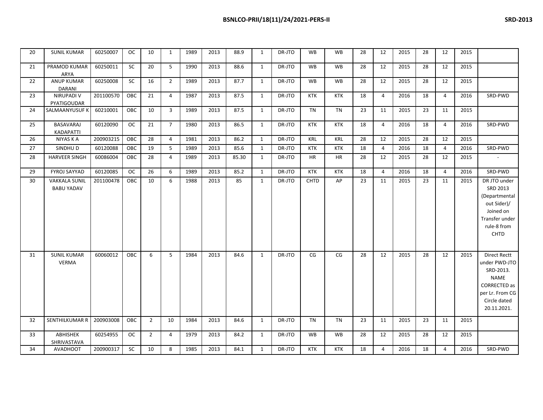| 20 | <b>SUNIL KUMAR</b>                        | 60250007  | <b>OC</b> | 10             | $\mathbf{1}$   | 1989 | 2013 | 88.9  | $\mathbf{1}$ | DR-JTO | <b>WB</b>   | <b>WB</b>  | 28 | 12             | 2015 | 28 | 12 | 2015 |                                                                                                                                    |
|----|-------------------------------------------|-----------|-----------|----------------|----------------|------|------|-------|--------------|--------|-------------|------------|----|----------------|------|----|----|------|------------------------------------------------------------------------------------------------------------------------------------|
| 21 | PRAMOD KUMAR<br>ARYA                      | 60250011  | <b>SC</b> | 20             | 5              | 1990 | 2013 | 88.6  | $\mathbf{1}$ | DR-JTO | <b>WB</b>   | <b>WB</b>  | 28 | 12             | 2015 | 28 | 12 | 2015 |                                                                                                                                    |
| 22 | <b>ANUP KUMAR</b><br><b>DARANI</b>        | 60250008  | SC        | 16             | $\overline{2}$ | 1989 | 2013 | 87.7  | $\mathbf{1}$ | DR-JTO | WB          | <b>WB</b>  | 28 | 12             | 2015 | 28 | 12 | 2015 |                                                                                                                                    |
| 23 | <b>NIRUPADI V</b><br>PYATIGOUDAR          | 201100570 | ОВС       | 21             | 4              | 1987 | 2013 | 87.5  | 1            | DR-JTO | KTK         | KTK        | 18 | 4              | 2016 | 18 | 4  | 2016 | SRD-PWD                                                                                                                            |
| 24 | SALMAANYUSUF K                            | 60210001  | OBC       | 10             | $\overline{3}$ | 1989 | 2013 | 87.5  | $\mathbf{1}$ | DR-JTO | <b>TN</b>   | <b>TN</b>  | 23 | 11             | 2015 | 23 | 11 | 2015 |                                                                                                                                    |
| 25 | <b>BASAVARAJ</b><br>KADAPATTI             | 60120090  | <b>OC</b> | 21             | $\overline{7}$ | 1980 | 2013 | 86.5  | 1            | DR-JTO | KTK         | <b>KTK</b> | 18 | 4              | 2016 | 18 | 4  | 2016 | SRD-PWD                                                                                                                            |
| 26 | NIYAS K A                                 | 200903215 | OBC       | 28             | $\overline{4}$ | 1981 | 2013 | 86.2  | $\mathbf{1}$ | DR-JTO | KRL         | <b>KRL</b> | 28 | 12             | 2015 | 28 | 12 | 2015 |                                                                                                                                    |
| 27 | SINDHU D                                  | 60120088  | OBC       | 19             | 5              | 1989 | 2013 | 85.6  | $\mathbf{1}$ | DR-JTO | KTK         | <b>KTK</b> | 18 | $\overline{4}$ | 2016 | 18 | 4  | 2016 | SRD-PWD                                                                                                                            |
| 28 | <b>HARVEER SINGH</b>                      | 60086004  | OBC       | 28             | 4              | 1989 | 2013 | 85.30 | $\mathbf{1}$ | DR-JTO | <b>HR</b>   | HR         | 28 | 12             | 2015 | 28 | 12 | 2015 | $\overline{\phantom{a}}$                                                                                                           |
| 29 | <b>FYROJ SAYYAD</b>                       | 60120085  | <b>OC</b> | 26             | 6              | 1989 | 2013 | 85.2  | $\mathbf{1}$ | DR-JTO | <b>KTK</b>  | <b>KTK</b> | 18 | $\overline{4}$ | 2016 | 18 | 4  | 2016 | SRD-PWD                                                                                                                            |
| 30 | <b>VAKKALA SUNIL</b><br><b>BABU YADAV</b> | 201100478 | OBC       | 10             | 6              | 1988 | 2013 | 85    | $\mathbf{1}$ | DR-JTO | <b>CHTD</b> | AP         | 23 | 11             | 2015 | 23 | 11 | 2015 | DR JTO under<br>SRD 2013<br>(Departmental<br>out Sider)/<br>Joined on<br>Transfer under<br>rule-8 from<br>CHTD                     |
| 31 | <b>SUNIL KUMAR</b><br><b>VERMA</b>        | 60060012  | OBC       | 6              | 5              | 1984 | 2013 | 84.6  | 1            | DR-JTO | CG          | CG         | 28 | 12             | 2015 | 28 | 12 | 2015 | Direct Rectt<br>under PWD-JTO<br>SRD-2013.<br><b>NAME</b><br><b>CORRECTED as</b><br>per Lr. From CG<br>Circle dated<br>20.11.2021. |
| 32 | <b>SENTHILKUMAR R</b>                     | 200903008 | OBC       | $\overline{2}$ | 10             | 1984 | 2013 | 84.6  | 1            | DR-JTO | TN          | TN         | 23 | 11             | 2015 | 23 | 11 | 2015 |                                                                                                                                    |
| 33 | ABHISHEK<br>SHRIVASTAVA                   | 60254955  | ОC        | $\overline{2}$ | $\overline{4}$ | 1979 | 2013 | 84.2  | $\mathbf{1}$ | DR-JTO | WB          | <b>WB</b>  | 28 | 12             | 2015 | 28 | 12 | 2015 |                                                                                                                                    |
| 34 | <b>AVADHOOT</b>                           | 200900317 | SC        | 10             | 8              | 1985 | 2013 | 84.1  | $\mathbf{1}$ | DR-JTO | KTK         | <b>KTK</b> | 18 | 4              | 2016 | 18 | 4  | 2016 | SRD-PWD                                                                                                                            |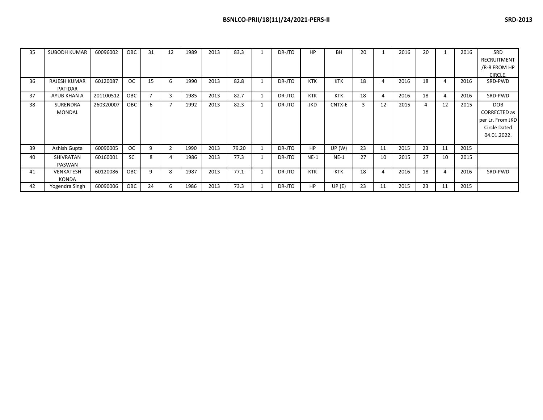| 35 | <b>SUBODH KUMAR</b> | 60096002  | OBC       | 31 | 12             | 1989 | 2013 | 83.3  |   | DR-JTO | <b>HP</b>  | BH         | 20 |    | 2016 | 20             |    | 2016 | SRD                 |
|----|---------------------|-----------|-----------|----|----------------|------|------|-------|---|--------|------------|------------|----|----|------|----------------|----|------|---------------------|
|    |                     |           |           |    |                |      |      |       |   |        |            |            |    |    |      |                |    |      | <b>RECRUITMENT</b>  |
|    |                     |           |           |    |                |      |      |       |   |        |            |            |    |    |      |                |    |      | /R-8 FROM HP        |
|    |                     |           |           |    |                |      |      |       |   |        |            |            |    |    |      |                |    |      | CIRCLE.             |
| 36 | <b>RAJESH KUMAR</b> | 60120087  | OC.       | 15 | 6              | 1990 | 2013 | 82.8  |   | DR-JTO | <b>KTK</b> | <b>KTK</b> | 18 | 4  | 2016 | 18             | 4  | 2016 | SRD-PWD             |
|    | PATIDAR             |           |           |    |                |      |      |       |   |        |            |            |    |    |      |                |    |      |                     |
| 37 | AYUB KHAN A         | 201100512 | OBC       |    | 3              | 1985 | 2013 | 82.7  |   | DR-JTO | KTK        | <b>KTK</b> | 18 | 4  | 2016 | 18             | 4  | 2016 | SRD-PWD             |
| 38 | <b>SURENDRA</b>     | 260320007 | OBC       | 6  |                | 1992 | 2013 | 82.3  |   | DR-JTO | <b>JKD</b> | CNTX-E     | 3  | 12 | 2015 | $\overline{4}$ | 12 | 2015 | <b>DOB</b>          |
|    | <b>MONDAL</b>       |           |           |    |                |      |      |       |   |        |            |            |    |    |      |                |    |      | CORRECTED as        |
|    |                     |           |           |    |                |      |      |       |   |        |            |            |    |    |      |                |    |      | per Lr. From JKD    |
|    |                     |           |           |    |                |      |      |       |   |        |            |            |    |    |      |                |    |      | <b>Circle Dated</b> |
|    |                     |           |           |    |                |      |      |       |   |        |            |            |    |    |      |                |    |      | 04.01.2022.         |
|    |                     |           |           |    |                |      |      |       |   |        |            |            |    |    |      |                |    |      |                     |
| 39 | Ashish Gupta        | 60090005  | OC.       | 9  | $\overline{2}$ | 1990 | 2013 | 79.20 | 1 | DR-JTO | <b>HP</b>  | UP(W)      | 23 | 11 | 2015 | 23             | 11 | 2015 |                     |
| 40 | <b>SHIVRATAN</b>    | 60160001  | <b>SC</b> | 8  | 4              | 1986 | 2013 | 77.3  |   | DR-JTO | $NE-1$     | $NE-1$     | 27 | 10 | 2015 | 27             | 10 | 2015 |                     |
|    | PASWAN              |           |           |    |                |      |      |       |   |        |            |            |    |    |      |                |    |      |                     |
| 41 | VENKATESH           | 60120086  | OBC       | q  | 8              | 1987 | 2013 | 77.1  |   | DR-JTO | <b>KTK</b> | KTK        | 18 | 4  | 2016 | 18             | 4  | 2016 | SRD-PWD             |
|    | KONDA               |           |           |    |                |      |      |       |   |        |            |            |    |    |      |                |    |      |                     |
| 42 | Yogendra Singh      | 60090006  | OBC       | 24 | 6              | 1986 | 2013 | 73.3  |   | DR-JTO | <b>HP</b>  | UP(E)      | 23 | 11 | 2015 | 23             | 11 | 2015 |                     |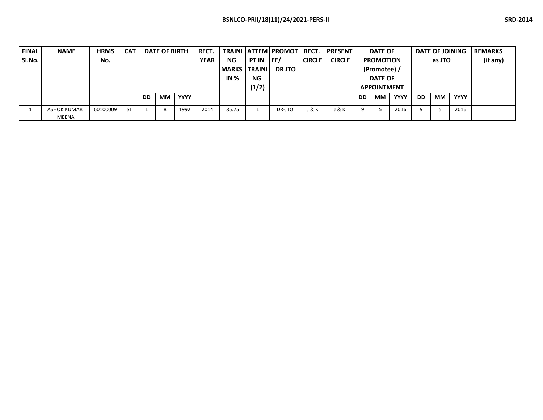| <b>FINAL</b> | <b>NAME</b>  | <b>HRMS</b> | <b>CAT</b> |           | <b>RECT.</b><br><b>DATE OF BIRTH</b> |             |      |                        |       | <b>TRAINI LATTEM PROMOT</b> | <b>RECT.</b>     | <b>IPRESENT</b> |                | <b>DATE OF</b>     |             |               | <b>DATE OF JOINING</b> | <b>REMARKS</b> |                  |  |  |        |  |          |
|--------------|--------------|-------------|------------|-----------|--------------------------------------|-------------|------|------------------------|-------|-----------------------------|------------------|-----------------|----------------|--------------------|-------------|---------------|------------------------|----------------|------------------|--|--|--------|--|----------|
| SI.No.       |              | No.         |            |           |                                      |             |      |                        |       |                             |                  | <b>YEAR</b>     | <b>NG</b>      | <b>PT IN</b>       | <b>IEE/</b> | <b>CIRCLE</b> | <b>CIRCLE</b>          |                | <b>PROMOTION</b> |  |  | as JTO |  | (if any) |
|              |              |             |            |           |                                      |             |      | <b>IMARKS I TRAINI</b> |       | <b>DR JTO</b>               |                  |                 | (Promotee) /   |                    |             |               |                        |                |                  |  |  |        |  |          |
|              |              |             |            |           |                                      |             |      | IN $%$                 | NG    |                             |                  |                 | <b>DATE OF</b> |                    |             |               |                        |                |                  |  |  |        |  |          |
|              |              |             |            |           |                                      |             |      |                        | (1/2) |                             |                  |                 |                | <b>APPOINTMENT</b> |             |               |                        |                |                  |  |  |        |  |          |
|              |              |             |            | <b>DD</b> | <b>MM</b>                            | <b>YYYY</b> |      |                        |       |                             |                  |                 | <b>DD</b>      | МM                 | <b>YYYY</b> | <b>DD</b>     | <b>MM</b>              | <b>YYYY</b>    |                  |  |  |        |  |          |
|              | ASHOK KUMAR  | 60100009    | <b>ST</b>  |           |                                      | 1992        | 2014 | 85.75                  |       | DR-JTO                      | <b>J &amp; K</b> | 1 & K           | q              |                    | 2016        | q             |                        | 2016           |                  |  |  |        |  |          |
|              | <b>MEENA</b> |             |            |           |                                      |             |      |                        |       |                             |                  |                 |                |                    |             |               |                        |                |                  |  |  |        |  |          |